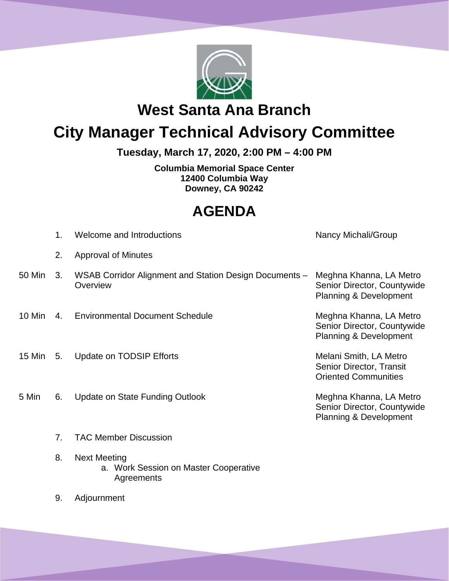

**West Santa Ana Branch** 

# **City Manager Technical Advisory Committee**

**Tuesday, March 17, 2020, 2:00 PM – 4:00 PM**

**Columbia Memorial Space Center 12400 Columbia Way Downey, CA 90242**

# **AGENDA**

|        | 1. | Welcome and Introductions                                                  | Nancy Michali/Group                                                                         |
|--------|----|----------------------------------------------------------------------------|---------------------------------------------------------------------------------------------|
|        | 2. | <b>Approval of Minutes</b>                                                 |                                                                                             |
| 50 Min | 3. | WSAB Corridor Alignment and Station Design Documents -<br>Overview         | Meghna Khanna, LA Metro<br>Senior Director, Countywide<br><b>Planning &amp; Development</b> |
| 10 Min |    | 4. Environmental Document Schedule                                         | Meghna Khanna, LA Metro<br>Senior Director, Countywide<br><b>Planning &amp; Development</b> |
| 15 Min | 5. | Update on TODSIP Efforts                                                   | Melani Smith, LA Metro<br>Senior Director, Transit<br><b>Oriented Communities</b>           |
| 5 Min  | 6. | Update on State Funding Outlook                                            | Meghna Khanna, LA Metro<br>Senior Director, Countywide<br><b>Planning &amp; Development</b> |
|        | 7. | <b>TAC Member Discussion</b>                                               |                                                                                             |
|        | 8. | <b>Next Meeting</b><br>a. Work Session on Master Cooperative<br>Agreements |                                                                                             |

9. Adjournment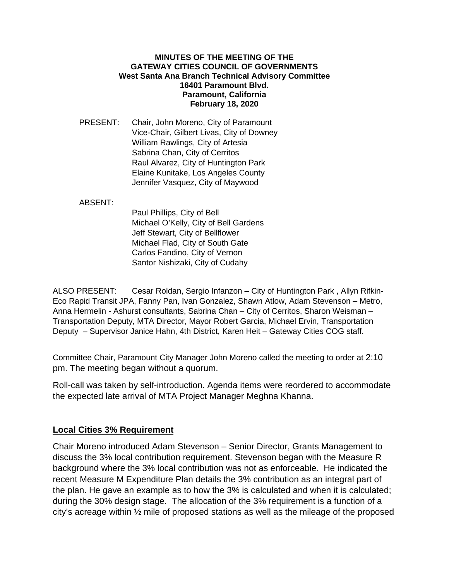#### **MINUTES OF THE MEETING OF THE GATEWAY CITIES COUNCIL OF GOVERNMENTS West Santa Ana Branch Technical Advisory Committee 16401 Paramount Blvd. Paramount, California February 18, 2020**

PRESENT: Chair, John Moreno, City of Paramount Vice-Chair, Gilbert Livas, City of Downey William Rawlings, City of Artesia Sabrina Chan, City of Cerritos Raul Alvarez, City of Huntington Park Elaine Kunitake, Los Angeles County Jennifer Vasquez, City of Maywood

#### ABSENT:

Paul Phillips, City of Bell Michael O'Kelly, City of Bell Gardens Jeff Stewart, City of Bellflower Michael Flad, City of South Gate Carlos Fandino, City of Vernon Santor Nishizaki, City of Cudahy

ALSO PRESENT: Cesar Roldan, Sergio Infanzon – City of Huntington Park , Allyn Rifkin-Eco Rapid Transit JPA, Fanny Pan, Ivan Gonzalez, Shawn Atlow, Adam Stevenson – Metro, Anna Hermelin - Ashurst consultants, Sabrina Chan – City of Cerritos, Sharon Weisman – Transportation Deputy, MTA Director, Mayor Robert Garcia, Michael Ervin, Transportation Deputy – Supervisor Janice Hahn, 4th District, Karen Heit – Gateway Cities COG staff.

Committee Chair, Paramount City Manager John Moreno called the meeting to order at 2:10 pm. The meeting began without a quorum.

Roll-call was taken by self-introduction. Agenda items were reordered to accommodate the expected late arrival of MTA Project Manager Meghna Khanna.

#### **Local Cities 3% Requirement**

Chair Moreno introduced Adam Stevenson – Senior Director, Grants Management to discuss the 3% local contribution requirement. Stevenson began with the Measure R background where the 3% local contribution was not as enforceable. He indicated the recent Measure M Expenditure Plan details the 3% contribution as an integral part of the plan. He gave an example as to how the 3% is calculated and when it is calculated; during the 30% design stage. The allocation of the 3% requirement is a function of a city's acreage within ½ mile of proposed stations as well as the mileage of the proposed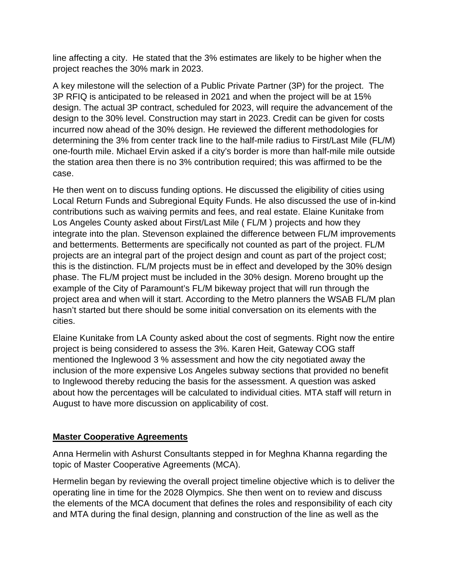line affecting a city. He stated that the 3% estimates are likely to be higher when the project reaches the 30% mark in 2023.

A key milestone will the selection of a Public Private Partner (3P) for the project. The 3P RFIQ is anticipated to be released in 2021 and when the project will be at 15% design. The actual 3P contract, scheduled for 2023, will require the advancement of the design to the 30% level. Construction may start in 2023. Credit can be given for costs incurred now ahead of the 30% design. He reviewed the different methodologies for determining the 3% from center track line to the half-mile radius to First/Last Mile (FL/M) one-fourth mile. Michael Ervin asked if a city's border is more than half-mile mile outside the station area then there is no 3% contribution required; this was affirmed to be the case.

He then went on to discuss funding options. He discussed the eligibility of cities using Local Return Funds and Subregional Equity Funds. He also discussed the use of in-kind contributions such as waiving permits and fees, and real estate. Elaine Kunitake from Los Angeles County asked about First/Last Mile ( FL/M ) projects and how they integrate into the plan. Stevenson explained the difference between FL/M improvements and betterments. Betterments are specifically not counted as part of the project. FL/M projects are an integral part of the project design and count as part of the project cost; this is the distinction. FL/M projects must be in effect and developed by the 30% design phase. The FL/M project must be included in the 30% design. Moreno brought up the example of the City of Paramount's FL/M bikeway project that will run through the project area and when will it start. According to the Metro planners the WSAB FL/M plan hasn't started but there should be some initial conversation on its elements with the cities.

Elaine Kunitake from LA County asked about the cost of segments. Right now the entire project is being considered to assess the 3%. Karen Heit, Gateway COG staff mentioned the Inglewood 3 % assessment and how the city negotiated away the inclusion of the more expensive Los Angeles subway sections that provided no benefit to Inglewood thereby reducing the basis for the assessment. A question was asked about how the percentages will be calculated to individual cities. MTA staff will return in August to have more discussion on applicability of cost.

# **Master Cooperative Agreements**

Anna Hermelin with Ashurst Consultants stepped in for Meghna Khanna regarding the topic of Master Cooperative Agreements (MCA).

Hermelin began by reviewing the overall project timeline objective which is to deliver the operating line in time for the 2028 Olympics. She then went on to review and discuss the elements of the MCA document that defines the roles and responsibility of each city and MTA during the final design, planning and construction of the line as well as the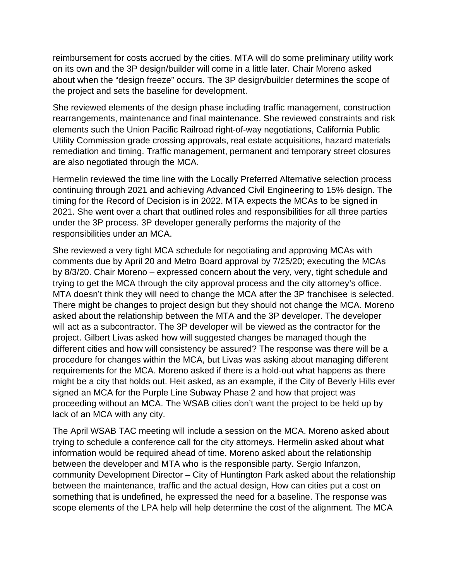reimbursement for costs accrued by the cities. MTA will do some preliminary utility work on its own and the 3P design/builder will come in a little later. Chair Moreno asked about when the "design freeze" occurs. The 3P design/builder determines the scope of the project and sets the baseline for development.

She reviewed elements of the design phase including traffic management, construction rearrangements, maintenance and final maintenance. She reviewed constraints and risk elements such the Union Pacific Railroad right-of-way negotiations, California Public Utility Commission grade crossing approvals, real estate acquisitions, hazard materials remediation and timing. Traffic management, permanent and temporary street closures are also negotiated through the MCA.

Hermelin reviewed the time line with the Locally Preferred Alternative selection process continuing through 2021 and achieving Advanced Civil Engineering to 15% design. The timing for the Record of Decision is in 2022. MTA expects the MCAs to be signed in 2021. She went over a chart that outlined roles and responsibilities for all three parties under the 3P process. 3P developer generally performs the majority of the responsibilities under an MCA.

She reviewed a very tight MCA schedule for negotiating and approving MCAs with comments due by April 20 and Metro Board approval by 7/25/20; executing the MCAs by 8/3/20. Chair Moreno – expressed concern about the very, very, tight schedule and trying to get the MCA through the city approval process and the city attorney's office. MTA doesn't think they will need to change the MCA after the 3P franchisee is selected. There might be changes to project design but they should not change the MCA. Moreno asked about the relationship between the MTA and the 3P developer. The developer will act as a subcontractor. The 3P developer will be viewed as the contractor for the project. Gilbert Livas asked how will suggested changes be managed though the different cities and how will consistency be assured? The response was there will be a procedure for changes within the MCA, but Livas was asking about managing different requirements for the MCA. Moreno asked if there is a hold-out what happens as there might be a city that holds out. Heit asked, as an example, if the City of Beverly Hills ever signed an MCA for the Purple Line Subway Phase 2 and how that project was proceeding without an MCA. The WSAB cities don't want the project to be held up by lack of an MCA with any city.

The April WSAB TAC meeting will include a session on the MCA. Moreno asked about trying to schedule a conference call for the city attorneys. Hermelin asked about what information would be required ahead of time. Moreno asked about the relationship between the developer and MTA who is the responsible party. Sergio Infanzon, community Development Director – City of Huntington Park asked about the relationship between the maintenance, traffic and the actual design, How can cities put a cost on something that is undefined, he expressed the need for a baseline. The response was scope elements of the LPA help will help determine the cost of the alignment. The MCA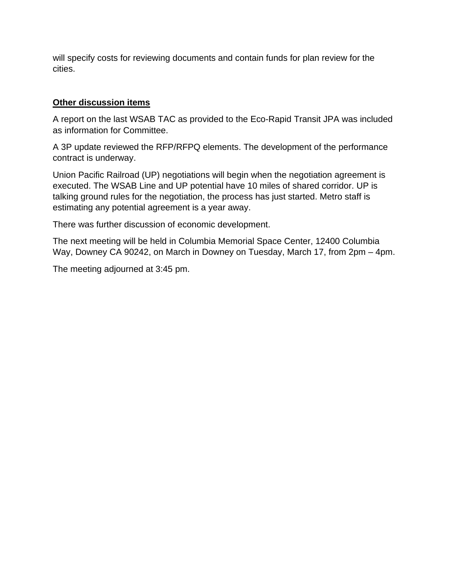will specify costs for reviewing documents and contain funds for plan review for the cities.

# **Other discussion items**

A report on the last WSAB TAC as provided to the Eco-Rapid Transit JPA was included as information for Committee.

A 3P update reviewed the RFP/RFPQ elements. The development of the performance contract is underway.

Union Pacific Railroad (UP) negotiations will begin when the negotiation agreement is executed. The WSAB Line and UP potential have 10 miles of shared corridor. UP is talking ground rules for the negotiation, the process has just started. Metro staff is estimating any potential agreement is a year away.

There was further discussion of economic development.

The next meeting will be held in Columbia Memorial Space Center, 12400 Columbia Way, Downey CA 90242, on March in Downey on Tuesday, March 17, from 2pm – 4pm.

The meeting adjourned at 3:45 pm.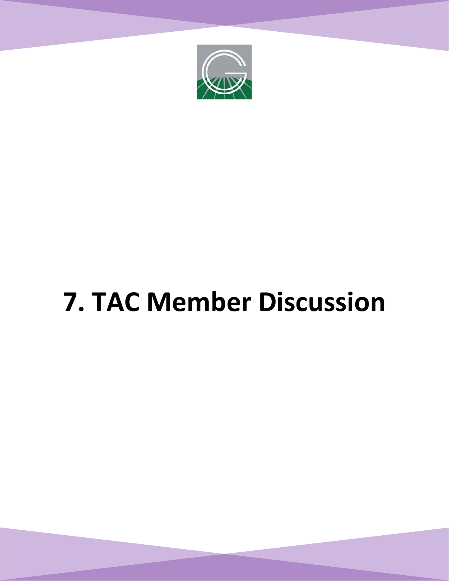

# **7. TAC Member Discussion**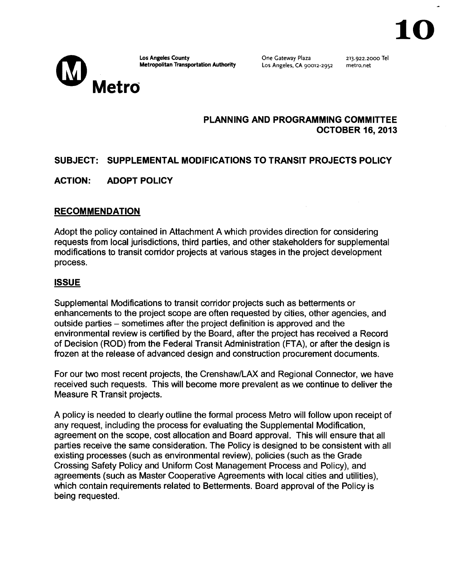Metro

**Los Angeles County Metropolitan Transportation Authority**  One Gateway Plaza Los Angeles, CA 90012-2952

213.922.2ooo Tel metro. net

# **PLANNING AND PROGRAMMING COMMITTEE OCTOBER 16,2013**

# **SUBJECT: SUPPLEMENTAL MODIFICATIONS TO TRANSIT PROJECTS POLICY**

# **ACTION: ADOPT POLICY**

# **RECOMMENDATION**

Adopt the policy contained in Attachment A which provides direction for considering requests from local jurisdictions, third parties, and other stakeholders for supplemental modifications to transit corridor projects at various stages in the project development process.

#### **ISSUE**

Supplemental Modifications to transit corridor projects such as betterments or enhancements to the project scope are often requested by cities, other agencies, and outside parties - sometimes after the project definition is approved and the environmental review is certified by the Board, after the project has received a Record of Decision (ROD) from the Federal Transit Administration (FTA), or after the design is frozen at the release of advanced design and construction procurement documents.

For our two most recent projects, the Crenshaw/LAX and Regional Connector, we have received such requests. This will become more prevalent as we continue to deliver the Measure R Transit projects.

A policy is needed to clearly outline the formal process Metro will follow upon receipt of any request, including the process for evaluating the Supplemental Modification, agreement on the scope, cost allocation and Board approval. This will ensure that all parties receive the same consideration. The Policy is designed to be consistent with all existing processes (such as environmental review), policies (such as the Grade Crossing Safety Policy and Uniform Cost Management Process and Policy), and agreements (such as Master Cooperative Agreements with local cities and utilities), which contain requirements related to Betterments. Board approval of the Policy is being requested.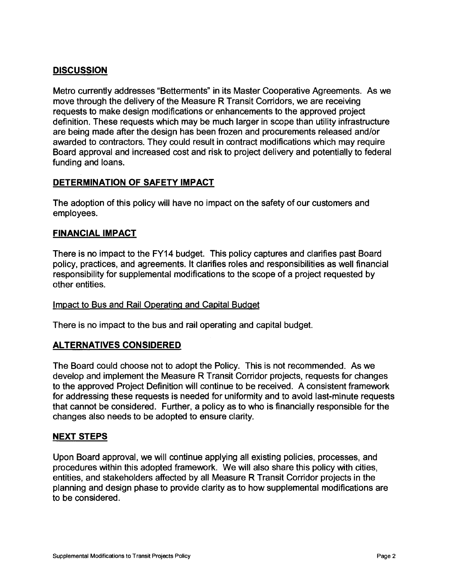### **DISCUSSION**

Metro currently addresses "Betterments" in its Master Cooperative Agreements. As we move through the delivery of the Measure R Transit Corridors, we are receiving requests to make design modifications or enhancements to the approved project definition. These requests which may be much larger in scope than utility infrastructure are being made after the design has been frozen and procurements released and/or awarded to contractors. They could result in contract modifications which may require Board approval and increased cost and risk to project delivery and potentially to federal funding and loans.

#### **DETERMINATION OF SAFETY IMPACT**

The adoption of this policy will have no impact on the safety of our customers and employees.

#### **FINANCIAL IMPACT**

There is no impact to the FY14 budget. This policy captures and clarifies past Board policy, practices, and agreements. It clarifies roles and responsibilities as well financial responsibility for supplemental modifications to the scope of a project requested by other entities.

#### Impact to Bus and Rail Operating and Capital Budget

There is no impact to the bus and rail operating and capital budget.

#### **ALTERNATIVES CONSIDERED**

The Board could choose not to adopt the Policy. This is not recommended. As we develop and implement the Measure R Transit Corridor projects, requests for changes to the approved Project Definition will continue to be received. A consistent framework for addressing these requests is needed for uniformity and to avoid last-minute requests that cannot be considered. Further, a policy as to who is financially responsible for the changes also needs to be adopted to ensure clarity.

#### **NEXT STEPS**

Upon Board approval, we will continue applying all existing policies, processes, and procedures within this adopted framework. We will also share this policy with cities, entities, and stakeholders affected by all Measure R Transit Corridor projects in the planning and design phase to provide clarity as to how supplemental modifications are to be considered.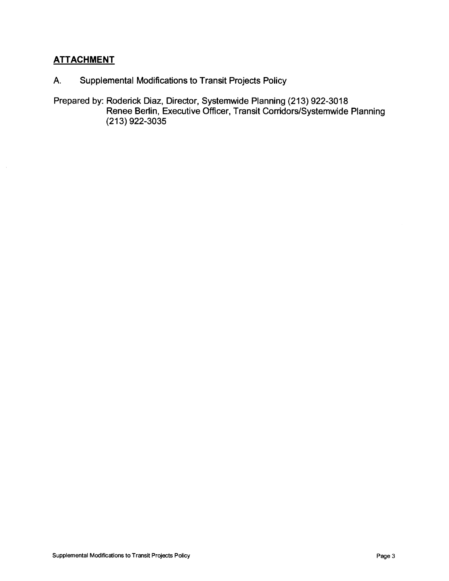# **ATTACHMENT**

- A. Supplemental Modifications to Transit Projects Policy
- Prepared by: Roderick Diaz, Director, Systemwide Planning (213) 922-3018 Renee Berlin, Executive Officer, Transit Corridors/Systemwide Planning (213) 922-3035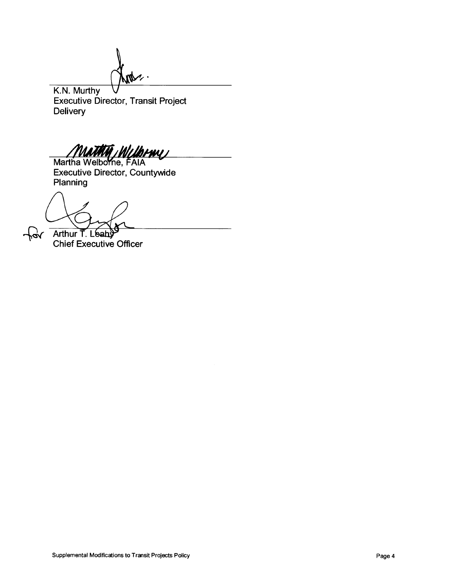$\mathbb{M}^\times$ 

K.N. Murthy Executive Director, Transit Project **Delivery** 

MATHIA MUJOHNY

Martha Welborne, FAIA Executive Director, Countywide Planning

Arthur T. Leah

vpl

Chief Executive Officer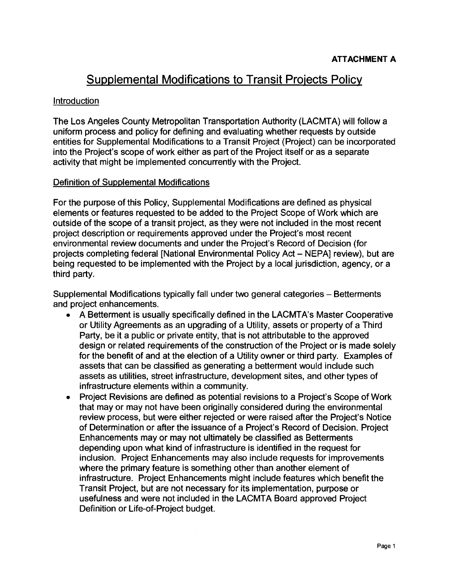# **Supplemental Modifications to Transit Projects Policy**

#### Introduction

The Los Angeles County Metropolitan Transportation Authority (LACMTA) will follow a uniform process and policy for defining and evaluating whether requests by outside entities for Supplemental Modifications to a Transit Project (Project) can be incorporated into the Project's scope of work either as part of the Project itself or as a separate activity that might be implemented concurrently with the Project.

#### Definition of Supplemental Modifications

For the purpose of this Policy, Supplemental Modifications are defined as physical elements or features requested to be added to the Project Scope of Work which are outside of the scope of a transit project, as they were not included in the most recent project description or requirements approved under the Project's most recent environmental review documents and under the Project's Record of Decision (for projects completing federal [National Environmental Policy Act- NEPA] review), but are being requested to be implemented with the Project by a local jurisdiction, agency, or a third party.

Supplemental Modifications typically fall under two general categories - Betterments and project enhancements.

- A Betterment is usually specifically defined in the LACMTA's Master Cooperative or Utility Agreements as an upgrading of a Utility, assets or property of a Third Party, be it a public or private entity, that is not attributable to the approved design or related requirements of the construction of the Project or is made solely for the benefit of and at the election of a Utility owner or third party. Examples of assets that can be classified as generating a betterment would include such assets as utilities, street infrastructure, development sites, and other types of infrastructure elements within a community.
- Project Revisions are defined as potential revisions to a Project's Scope of Work that may or may not have been originally considered during the environmental review process, but were either rejected or were raised after the Project's Notice of Determination or after the issuance of a Project's Record of Decision. Project Enhancements may or may not ultimately be classified as Betterments depending upon what kind of infrastructure is identified in the request for inclusion. Project Enhancements may also include requests for improvements where the primary feature is something other than another element of infrastructure. Project Enhancements might include features which benefit the Transit Project, but are not necessary for its implementation, purpose or usefulness and were not included in the LACMTA Board approved Project Definition or Life-of-Project budget.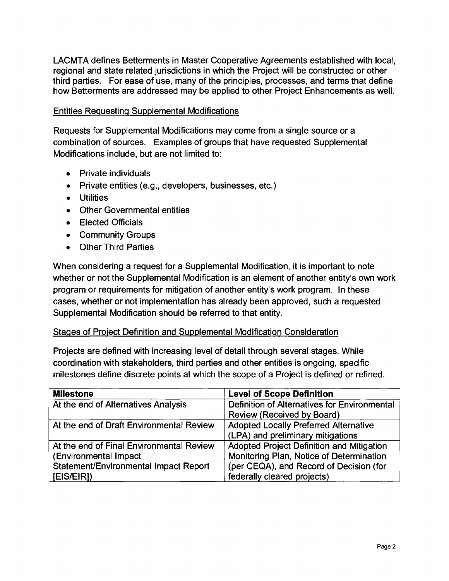LACMTA defines Betterments in Master Cooperative Agreements established with local, regional and state related jurisdictions in which the Project will be constructed or other third parties. For ease of use, many of the principles, processes, and terms that define how Betterments are addressed may be applied to other Project Enhancements as well.

#### Entities Requesting Supplemental Modifications

Requests for Supplemental Modifications may come from a single source or a combination of sources. Examples of groups that have requested Supplemental Modifications include, but are not limited to:

- Private individuals
- Private entities (e.g., developers, businesses, etc.)
- Utilities
- Other Governmental entities
- Elected Officials
- Community Groups
- Other Third Parties

When considering a request for a Supplemental Modification, it is important to note whether or not the Supplemental Modification is an element of another entity's own work program or requirements for mitigation of another entity's work program. In these cases, whether or not implementation has already been approved, such a requested Supplemental Modification should be referred to that entity.

#### Stages of Project Definition and Supplemental Modification Consideration

Projects are defined with increasing level of detail through several stages. While coordination with stakeholders, third parties and other entities is ongoing, specific milestones define discrete points at which the scope of a Project is defined or refined.

| <b>Milestone</b>                         | <b>Level of Scope Definition</b>             |  |
|------------------------------------------|----------------------------------------------|--|
| At the end of Alternatives Analysis      | Definition of Alternatives for Environmental |  |
|                                          | Review (Received by Board)                   |  |
| At the end of Draft Environmental Review | <b>Adopted Locally Preferred Alternative</b> |  |
|                                          | (LPA) and preliminary mitigations            |  |
| At the end of Final Environmental Review | Adopted Project Definition and Mitigation    |  |
| (Environmental Impact                    | Monitoring Plan, Notice of Determination     |  |
| Statement/Environmental Impact Report    | (per CEQA), and Record of Decision (for      |  |
| [EIS/EIR])                               | federally cleared projects)                  |  |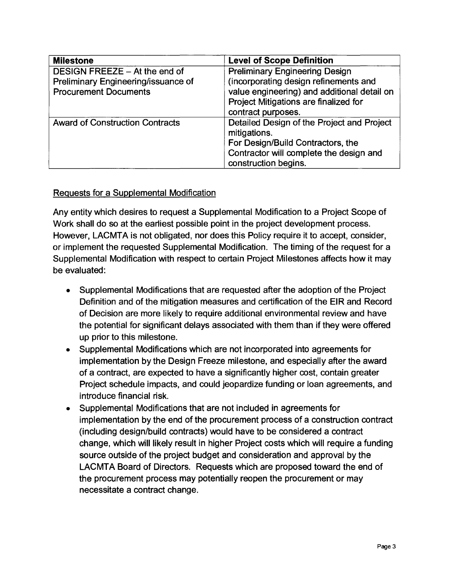| <b>Milestone</b>                       | <b>Level of Scope Definition</b>            |  |
|----------------------------------------|---------------------------------------------|--|
| DESIGN FREEZE - At the end of          | <b>Preliminary Engineering Design</b>       |  |
| Preliminary Engineering/issuance of    | (incorporating design refinements and       |  |
| <b>Procurement Documents</b>           | value engineering) and additional detail on |  |
|                                        | Project Mitigations are finalized for       |  |
|                                        | contract purposes.                          |  |
| <b>Award of Construction Contracts</b> | Detailed Design of the Project and Project  |  |
|                                        | mitigations.                                |  |
|                                        | For Design/Build Contractors, the           |  |
|                                        | Contractor will complete the design and     |  |
|                                        | construction begins.                        |  |

#### Requests for a Supplemental Modification

Any entity which desires to request a Supplemental Modification to a Project Scope of Work shall do so at the earliest possible point in the project development process. However, LACMTA is not obligated, nor does this Policy require it to accept, consider, or implement the requested Supplemental Modification. The timing of the request for a Supplemental Modification with respect to certain Project Milestones affects how it may be evaluated:

- Supplemental Modifications that are requested after the adoption of the Project Definition and of the mitigation measures and certification of the EIR and Record of Decision are more likely to require additional environmental review and have the potential for significant delays associated with them than if they were offered up prior to this milestone.
- Supplemental Modifications which are not incorporated into agreements for implementation by the Design Freeze milestone, and especially after the award of a contract, are expected to have a significantly higher cost, contain greater Project schedule impacts, and could jeopardize funding or loan agreements, and introduce financial risk.
- Supplemental Modifications that are not included in agreements for implementation by the end of the procurement process of a construction contract (including design/build contracts) would have to be considered a contract change, which will likely result in higher Project costs which will require a funding source outside of the project budget and consideration and approval by the LACMTA Board of Directors. Requests which are proposed toward the end of the procurement process may potentially reopen the procurement or may necessitate a contract change.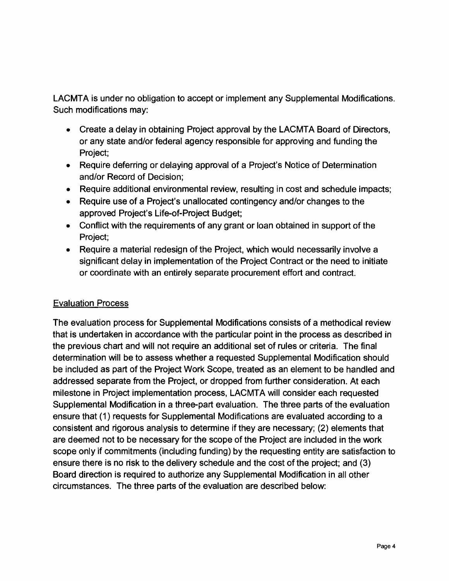LACMTA is under no obligation to accept or implement any Supplemental Modifications. Such modifications may:

- Create a delay in obtaining Project approval by the LACMTA Board of Directors, or any state and/or federal agency responsible for approving and funding the Project;
- Require deferring or delaying approval of a Project's Notice of Determination and/or Record of Decision;
- Require additional environmental review, resulting in cost and schedule impacts;
- Require use of a Project's unallocated contingency and/or changes to the approved Project's Life-of-Project Budget;
- Conflict with the requirements of any grant or loan obtained in support of the Project;
- Require a material redesign of the Project, which would necessarily involve a significant delay in implementation of the Project Contract or the need to initiate or coordinate with an entirely separate procurement effort and contract.

# Evaluation Process

The evaluation process for Supplemental Modifications consists of a methodical review that is undertaken in accordance with the particular point in the process as described in the previous chart and will not require an additional set of rules or criteria. The final determination will be to assess whether a requested Supplemental Modification should be included as part of the Project Work Scope, treated as an element to be handled and addressed separate from the Project, or dropped from further consideration. At each milestone in Project implementation process, LACMTA will consider each requested Supplemental Modification in a three-part evaluation. The three parts of the evaluation ensure that (1) requests for Supplemental Modifications are evaluated according to a consistent and rigorous analysis to determine if they are necessary; (2) elements that are deemed not to be necessary for the scope of the Project are included in the work scope only if commitments (including funding) by the requesting entity are satisfaction to ensure there is no risk to the delivery schedule and the cost of the project; and (3) Board direction is required to authorize any Supplemental Modification in all other circumstances. The three parts of the evaluation are described below: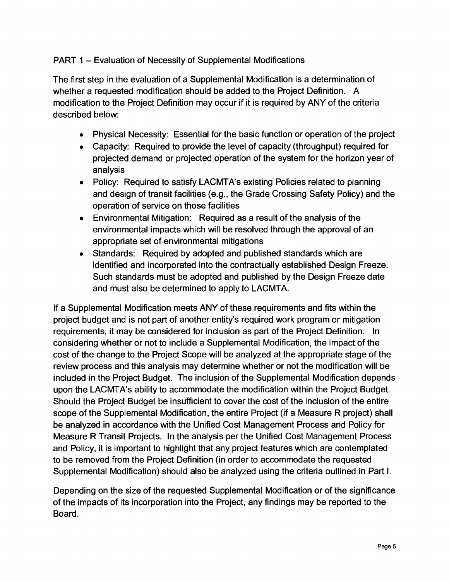# PART 1 - Evaluation of Necessity of Supplemental Modifications

The first step in the evaluation of a Supplemental Modification is a determination of whether a requested modification should be added to the Project Definition. A modification to the Project Definition may occur if it is required by ANY of the criteria described below:

- Physical Necessity: Essential for the basic function or operation of the project
- Capacity: Required to provide the level of capacity (throughput) required for projected demand or projected operation of the system for the horizon year of analysis
- Policy: Required to satisfy LACMTA's existing Policies related to planning and design of transit facilities (e.g., the Grade Crossing Safety Policy) and the operation of service on those facilities
- Environmental Mitigation: Required as a result of the analysis of the environmental impacts which will be resolved through the approval of an appropriate set of environmental mitigations
- Standards: Required by adopted and published standards which are identified and incorporated into the contractually established Design Freeze. Such standards must be adopted and published by the Design Freeze date and must also be determined to apply to LACMTA.

If a Supplemental Modification meets ANY of these requirements and fits within the project budget and is not part of another entity's required work program or mitigation requirements, it may be considered for inclusion as part of the Project Definition. In considering whether or not to include a Supplemental Modification, the impact of the cost of the change to the Project Scope will be analyzed at the appropriate stage of the review process and this analysis may determine whether or not the modification will be included in the Project Budget. The inclusion of the Supplemental Modification depends upon the LACMTA's ability to accommodate the modification within the Project Budget. Should the Project Budget be insufficient to cover the cost of the inclusion of the entire scope of the Supplemental Modification, the entire Project (if a Measure R project) shall be analyzed in accordance with the Unified Cost Management Process and Policy for Measure R Transit Projects. In the analysis per the Unified Cost Management Process and Policy, it is important to highlight that any project features which are contemplated to be removed from the Project Definition (in order to accommodate the requested Supplemental Modification) should also be analyzed using the criteria outlined in Part I.

Depending on the size of the requested Supplemental Modification or of the significance of the impacts of its incorporation into the Project, any findings may be reported to the Board.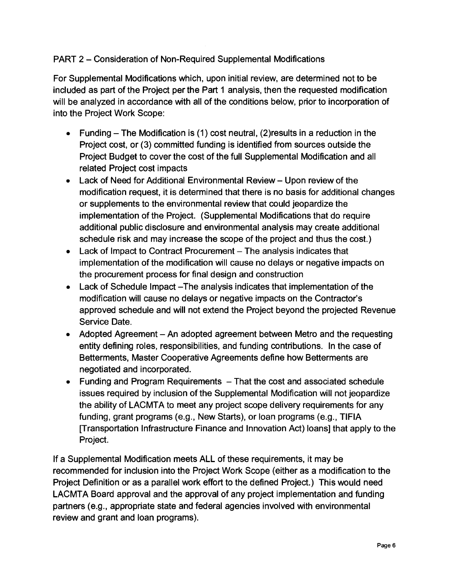# PART 2 - Consideration of Non-Required Supplemental Modifications

For Supplemental Modifications which, upon initial review, are determined not to be included as part of the Project per the Part 1 analysis, then the requested modification will be analyzed in accordance with all of the conditions below, prior to incorporation of into the Project Work Scope:

- Funding The Modification is (1) cost neutral, (2) results in a reduction in the Project cost, or (3) committed funding is identified from sources outside the Project Budget to cover the cost of the full Supplemental Modification and all related Project cost impacts
- Lack of Need for Additional Environmental Review- Upon review of the modification request, it is determined that there is no basis for additional changes or supplements to the environmental review that could jeopardize the implementation of the Project. (Supplemental Modifications that do require additional public disclosure and environmental analysis may create additional schedule risk and may increase the scope of the project and thus the cost.)
- $\bullet$  Lack of Impact to Contract Procurement  $-$  The analysis indicates that implementation of the modification will cause no delays or negative impacts on the procurement process for final design and construction
- Lack of Schedule Impact -The analysis indicates that implementation of the modification will cause no delays or negative impacts on the Contractor's approved schedule and will not extend the Project beyond the projected Revenue Service Date.
- Adopted Agreement An adopted agreement between Metro and the requesting entity defining roles, responsibilities, and funding contributions. In the case of Betterments, Master Cooperative Agreements define how Betterments are negotiated and incorporated.
- $-$  Funding and Program Requirements  $-$  That the cost and associated schedule issues required by inclusion of the Supplemental Modification will not jeopardize the ability of LACMTA to meet any project scope delivery requirements for any funding, grant programs (e.g., New Starts), or loan programs (e.g., TIFIA [Transportation Infrastructure Finance and Innovation Act) loans] that apply to the Project.

If a Supplemental Modification meets ALL of these requirements, it may be recommended for inclusion into the Project Work Scope (either as a modification to the Project Definition or as a parallel work effort to the defined Project.) This would need LACMTA Board approval and the approval of any project implementation and funding partners (e.g., appropriate state and federal agencies involved with environmental review and grant and loan programs).